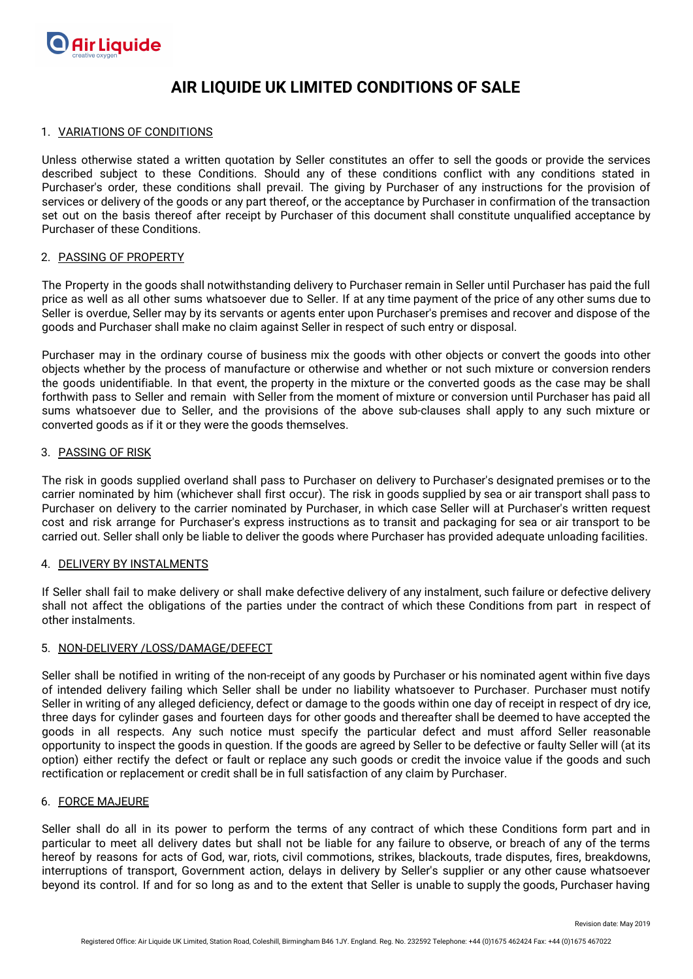

# 1. VARIATIONS OF CONDITIONS

Unless otherwise stated a written quotation by Seller constitutes an offer to sell the goods or provide the services described subject to these Conditions. Should any of these conditions conflict with any conditions stated in Purchaser's order, these conditions shall prevail. The giving by Purchaser of any instructions for the provision of services or delivery of the goods or any part thereof, or the acceptance by Purchaser in confirmation of the transaction set out on the basis thereof after receipt by Purchaser of this document shall constitute unqualified acceptance by Purchaser of these Conditions.

### 2. PASSING OF PROPERTY

The Property in the goods shall notwithstanding delivery to Purchaser remain in Seller until Purchaser has paid the full price as well as all other sums whatsoever due to Seller. If at any time payment of the price of any other sums due to Seller is overdue, Seller may by its servants or agents enter upon Purchaser's premises and recover and dispose of the goods and Purchaser shall make no claim against Seller in respect of such entry or disposal.

Purchaser may in the ordinary course of business mix the goods with other objects or convert the goods into other objects whether by the process of manufacture or otherwise and whether or not such mixture or conversion renders the goods unidentifiable. In that event, the property in the mixture or the converted goods as the case may be shall forthwith pass to Seller and remain with Seller from the moment of mixture or conversion until Purchaser has paid all sums whatsoever due to Seller, and the provisions of the above sub-clauses shall apply to any such mixture or converted goods as if it or they were the goods themselves.

#### 3. PASSING OF RISK

The risk in goods supplied overland shall pass to Purchaser on delivery to Purchaser's designated premises or to the carrier nominated by him (whichever shall first occur). The risk in goods supplied by sea or air transport shall pass to Purchaser on delivery to the carrier nominated by Purchaser, in which case Seller will at Purchaser's written request cost and risk arrange for Purchaser's express instructions as to transit and packaging for sea or air transport to be carried out. Seller shall only be liable to deliver the goods where Purchaser has provided adequate unloading facilities.

#### 4. DELIVERY BY INSTALMENTS

If Seller shall fail to make delivery or shall make defective delivery of any instalment, such failure or defective delivery shall not affect the obligations of the parties under the contract of which these Conditions from part in respect of other instalments.

# 5. NON-DELIVERY /LOSS/DAMAGE/DEFECT

Seller shall be notified in writing of the non-receipt of any goods by Purchaser or his nominated agent within five days of intended delivery failing which Seller shall be under no liability whatsoever to Purchaser. Purchaser must notify Seller in writing of any alleged deficiency, defect or damage to the goods within one day of receipt in respect of dry ice, three days for cylinder gases and fourteen days for other goods and thereafter shall be deemed to have accepted the goods in all respects. Any such notice must specify the particular defect and must afford Seller reasonable opportunity to inspect the goods in question. If the goods are agreed by Seller to be defective or faulty Seller will (at its option) either rectify the defect or fault or replace any such goods or credit the invoice value if the goods and such rectification or replacement or credit shall be in full satisfaction of any claim by Purchaser.

#### 6. FORCE MAJEURE

Seller shall do all in its power to perform the terms of any contract of which these Conditions form part and in particular to meet all delivery dates but shall not be liable for any failure to observe, or breach of any of the terms hereof by reasons for acts of God, war, riots, civil commotions, strikes, blackouts, trade disputes, fires, breakdowns, interruptions of transport, Government action, delays in delivery by Seller's supplier or any other cause whatsoever beyond its control. If and for so long as and to the extent that Seller is unable to supply the goods, Purchaser having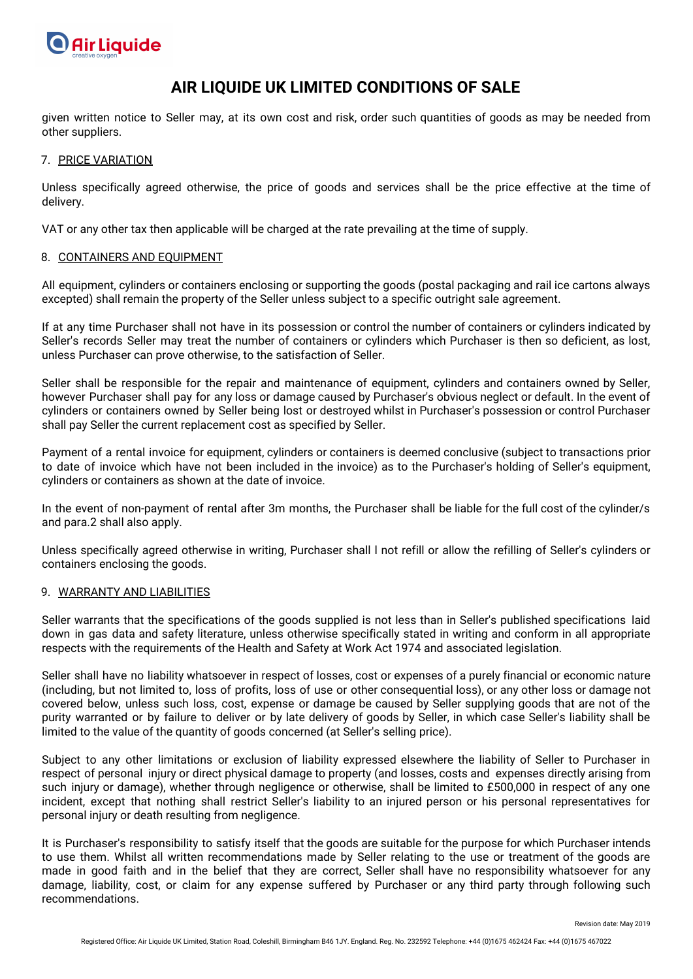

given written notice to Seller may, at its own cost and risk, order such quantities of goods as may be needed from other suppliers.

# 7. PRICE VARIATION

Unless specifically agreed otherwise, the price of goods and services shall be the price effective at the time of delivery.

VAT or any other tax then applicable will be charged at the rate prevailing at the time of supply.

# 8. CONTAINERS AND EQUIPMENT

All equipment, cylinders or containers enclosing or supporting the goods (postal packaging and rail ice cartons always excepted) shall remain the property of the Seller unless subject to a specific outright sale agreement.

If at any time Purchaser shall not have in its possession or control the number of containers or cylinders indicated by Seller's records Seller may treat the number of containers or cylinders which Purchaser is then so deficient, as lost, unless Purchaser can prove otherwise, to the satisfaction of Seller.

Seller shall be responsible for the repair and maintenance of equipment, cylinders and containers owned by Seller, however Purchaser shall pay for any loss or damage caused by Purchaser's obvious neglect or default. In the event of cylinders or containers owned by Seller being lost or destroyed whilst in Purchaser's possession or control Purchaser shall pay Seller the current replacement cost as specified by Seller.

Payment of a rental invoice for equipment, cylinders or containers is deemed conclusive (subject to transactions prior to date of invoice which have not been included in the invoice) as to the Purchaser's holding of Seller's equipment, cylinders or containers as shown at the date of invoice.

In the event of non-payment of rental after 3m months, the Purchaser shall be liable for the full cost of the cylinder/s and para.2 shall also apply.

Unless specifically agreed otherwise in writing, Purchaser shall l not refill or allow the refilling of Seller's cylinders or containers enclosing the goods.

# 9. WARRANTY AND LIABILITIES

Seller warrants that the specifications of the goods supplied is not less than in Seller's published specifications laid down in gas data and safety literature, unless otherwise specifically stated in writing and conform in all appropriate respects with the requirements of the Health and Safety at Work Act 1974 and associated legislation.

Seller shall have no liability whatsoever in respect of losses, cost or expenses of a purely financial or economic nature (including, but not limited to, loss of profits, loss of use or other consequential loss), or any other loss or damage not covered below, unless such loss, cost, expense or damage be caused by Seller supplying goods that are not of the purity warranted or by failure to deliver or by late delivery of goods by Seller, in which case Seller's liability shall be limited to the value of the quantity of goods concerned (at Seller's selling price).

Subject to any other limitations or exclusion of liability expressed elsewhere the liability of Seller to Purchaser in respect of personal injury or direct physical damage to property (and losses, costs and expenses directly arising from such injury or damage), whether through negligence or otherwise, shall be limited to £500,000 in respect of any one incident, except that nothing shall restrict Seller's liability to an injured person or his personal representatives for personal injury or death resulting from negligence.

It is Purchaser's responsibility to satisfy itself that the goods are suitable for the purpose for which Purchaser intends to use them. Whilst all written recommendations made by Seller relating to the use or treatment of the goods are made in good faith and in the belief that they are correct, Seller shall have no responsibility whatsoever for any damage, liability, cost, or claim for any expense suffered by Purchaser or any third party through following such recommendations.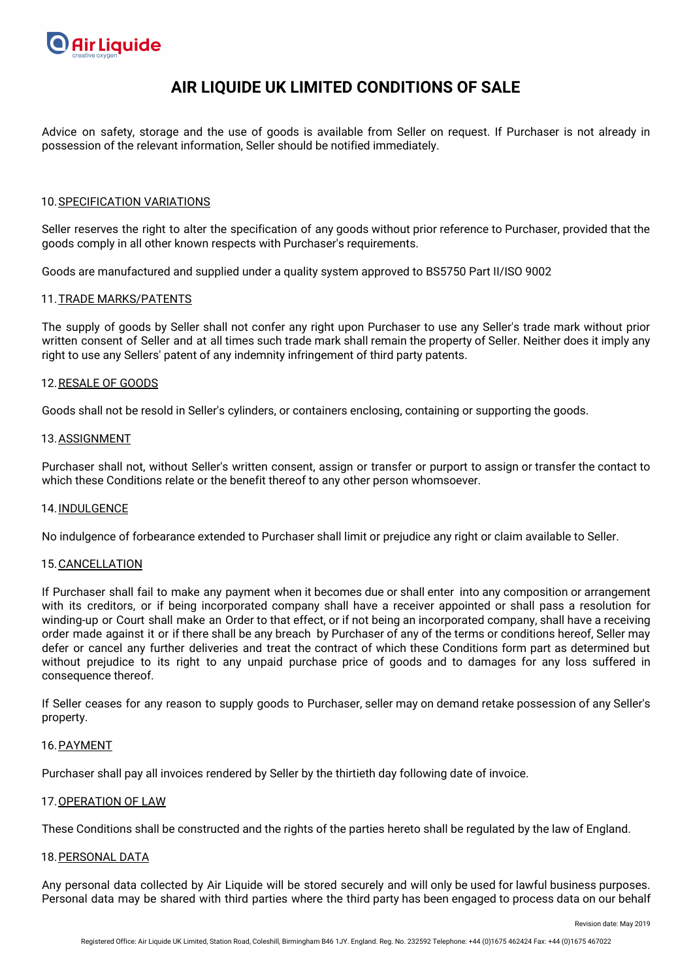

Advice on safety, storage and the use of goods is available from Seller on request. If Purchaser is not already in possession of the relevant information, Seller should be notified immediately.

## 10.SPECIFICATION VARIATIONS

Seller reserves the right to alter the specification of any goods without prior reference to Purchaser, provided that the goods comply in all other known respects with Purchaser's requirements.

Goods are manufactured and supplied under a quality system approved to BS5750 Part II/ISO 9002

### 11.TRADE MARKS/PATENTS

The supply of goods by Seller shall not confer any right upon Purchaser to use any Seller's trade mark without prior written consent of Seller and at all times such trade mark shall remain the property of Seller. Neither does it imply any right to use any Sellers' patent of any indemnity infringement of third party patents.

### 12.RESALE OF GOODS

Goods shall not be resold in Seller's cylinders, or containers enclosing, containing or supporting the goods.

### 13. ASSIGNMENT

Purchaser shall not, without Seller's written consent, assign or transfer or purport to assign or transfer the contact to which these Conditions relate or the benefit thereof to any other person whomsoever.

## 14.INDULGENCE

No indulgence of forbearance extended to Purchaser shall limit or prejudice any right or claim available to Seller.

#### 15.CANCELLATION

If Purchaser shall fail to make any payment when it becomes due or shall enter into any composition or arrangement with its creditors, or if being incorporated company shall have a receiver appointed or shall pass a resolution for winding-up or Court shall make an Order to that effect, or if not being an incorporated company, shall have a receiving order made against it or if there shall be any breach by Purchaser of any of the terms or conditions hereof, Seller may defer or cancel any further deliveries and treat the contract of which these Conditions form part as determined but without prejudice to its right to any unpaid purchase price of goods and to damages for any loss suffered in consequence thereof.

If Seller ceases for any reason to supply goods to Purchaser, seller may on demand retake possession of any Seller's property.

#### 16.PAYMENT

Purchaser shall pay all invoices rendered by Seller by the thirtieth day following date of invoice.

# 17.OPERATION OF LAW

These Conditions shall be constructed and the rights of the parties hereto shall be regulated by the law of England.

# 18.PERSONAL DATA

Any personal data collected by Air Liquide will be stored securely and will only be used for lawful business purposes. Personal data may be shared with third parties where the third party has been engaged to process data on our behalf